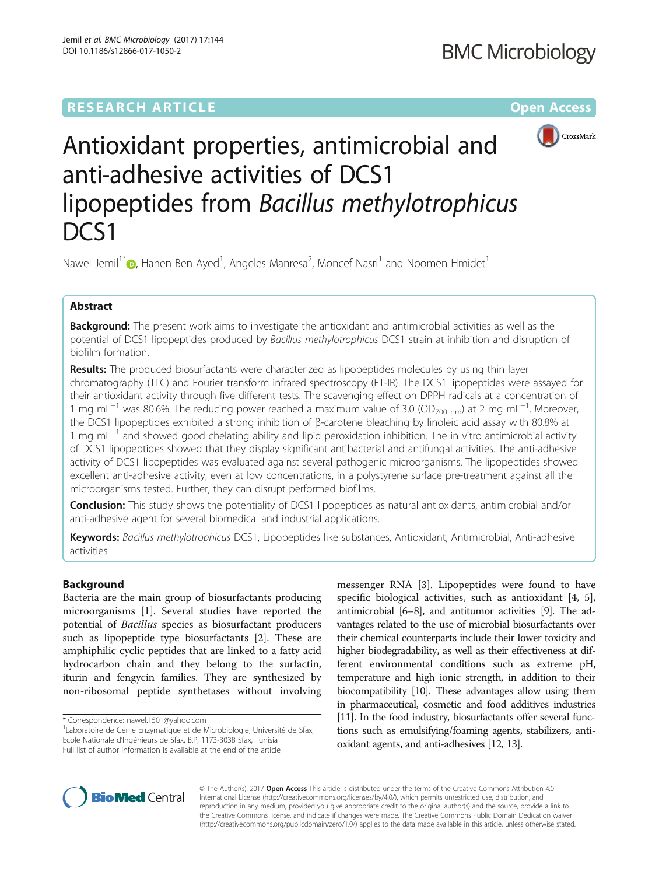

# Antioxidant properties, antimicrobial and anti-adhesive activities of DCS1 lipopeptides from Bacillus methylotrophicus DCS<sub>1</sub>

Nawel Jemil<sup>1\*</sup> [,](http://orcid.org/0000-0002-0104-6049) Hanen Ben Ayed<sup>1</sup>, Angeles Manresa<sup>2</sup>, Moncef Nasri<sup>1</sup> and Noomen Hmidet<sup>1</sup>

# Abstract

Background: The present work aims to investigate the antioxidant and antimicrobial activities as well as the potential of DCS1 lipopeptides produced by Bacillus methylotrophicus DCS1 strain at inhibition and disruption of biofilm formation.

Results: The produced biosurfactants were characterized as lipopeptides molecules by using thin layer chromatography (TLC) and Fourier transform infrared spectroscopy (FT-IR). The DCS1 lipopeptides were assayed for their antioxidant activity through five different tests. The scavenging effect on DPPH radicals at a concentration of 1 mg mL<sup>-1</sup> was 80.6%. The reducing power reached a maximum value of 3.0 (OD<sub>700 nm</sub>) at 2 mg mL<sup>-1</sup>. Moreover, the DCS1 lipopeptides exhibited a strong inhibition of β-carotene bleaching by linoleic acid assay with 80.8% at 1 mg mL−<sup>1</sup> and showed good chelating ability and lipid peroxidation inhibition. The in vitro antimicrobial activity of DCS1 lipopeptides showed that they display significant antibacterial and antifungal activities. The anti-adhesive activity of DCS1 lipopeptides was evaluated against several pathogenic microorganisms. The lipopeptides showed excellent anti-adhesive activity, even at low concentrations, in a polystyrene surface pre-treatment against all the microorganisms tested. Further, they can disrupt performed biofilms.

**Conclusion:** This study shows the potentiality of DCS1 lipopeptides as natural antioxidants, antimicrobial and/or anti-adhesive agent for several biomedical and industrial applications.

Keywords: Bacillus methylotrophicus DCS1, Lipopeptides like substances, Antioxidant, Antimicrobial, Anti-adhesive activities

# Background

Bacteria are the main group of biosurfactants producing microorganisms [[1\]](#page-9-0). Several studies have reported the potential of Bacillus species as biosurfactant producers such as lipopeptide type biosurfactants [\[2\]](#page-9-0). These are amphiphilic cyclic peptides that are linked to a fatty acid hydrocarbon chain and they belong to the surfactin, iturin and fengycin families. They are synthesized by non-ribosomal peptide synthetases without involving

messenger RNA [\[3\]](#page-9-0). Lipopeptides were found to have specific biological activities, such as antioxidant [[4, 5](#page-9-0)], antimicrobial [[6](#page-9-0)–[8\]](#page-9-0), and antitumor activities [[9](#page-9-0)]. The advantages related to the use of microbial biosurfactants over their chemical counterparts include their lower toxicity and higher biodegradability, as well as their effectiveness at different environmental conditions such as extreme pH, temperature and high ionic strength, in addition to their biocompatibility [\[10\]](#page-9-0). These advantages allow using them in pharmaceutical, cosmetic and food additives industries [[11](#page-9-0)]. In the food industry, biosurfactants offer several functions such as emulsifying/foaming agents, stabilizers, antioxidant agents, and anti-adhesives [\[12](#page-9-0), [13](#page-9-0)].



© The Author(s). 2017 **Open Access** This article is distributed under the terms of the Creative Commons Attribution 4.0 International License [\(http://creativecommons.org/licenses/by/4.0/](http://creativecommons.org/licenses/by/4.0/)), which permits unrestricted use, distribution, and reproduction in any medium, provided you give appropriate credit to the original author(s) and the source, provide a link to the Creative Commons license, and indicate if changes were made. The Creative Commons Public Domain Dedication waiver [\(http://creativecommons.org/publicdomain/zero/1.0/](http://creativecommons.org/publicdomain/zero/1.0/)) applies to the data made available in this article, unless otherwise stated.

<sup>\*</sup> Correspondence: [nawel.1501@yahoo.com](mailto:nawel.1501@yahoo.com) <sup>1</sup>

<sup>&</sup>lt;sup>1</sup> Laboratoire de Génie Enzymatique et de Microbiologie, Université de Sfax, Ecole Nationale d'Ingénieurs de Sfax, B.P, 1173-3038 Sfax, Tunisia Full list of author information is available at the end of the article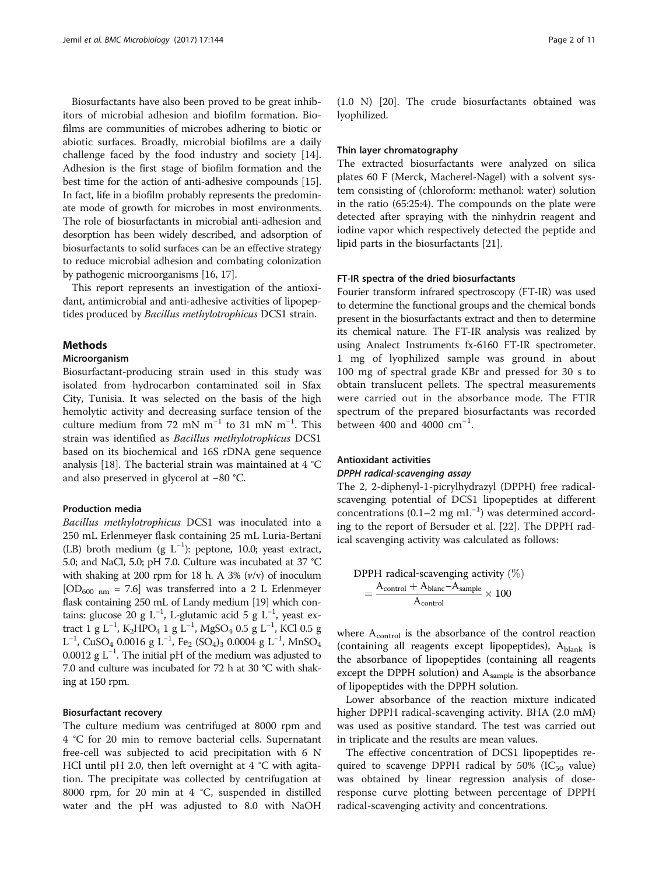Biosurfactants have also been proved to be great inhibitors of microbial adhesion and biofilm formation. Biofilms are communities of microbes adhering to biotic or abiotic surfaces. Broadly, microbial biofilms are a daily challenge faced by the food industry and society [\[14](#page-9-0)]. Adhesion is the first stage of biofilm formation and the best time for the action of anti-adhesive compounds [[15](#page-9-0)]. In fact, life in a biofilm probably represents the predominate mode of growth for microbes in most environments. The role of biosurfactants in microbial anti-adhesion and desorption has been widely described, and adsorption of biosurfactants to solid surfaces can be an effective strategy to reduce microbial adhesion and combating colonization by pathogenic microorganisms [\[16, 17](#page-9-0)].

This report represents an investigation of the antioxidant, antimicrobial and anti-adhesive activities of lipopeptides produced by Bacillus methylotrophicus DCS1 strain.

#### Methods

#### Microorganism

Biosurfactant-producing strain used in this study was isolated from hydrocarbon contaminated soil in Sfax City, Tunisia. It was selected on the basis of the high hemolytic activity and decreasing surface tension of the culture medium from 72 mN  $m^{-1}$  to 31 mN  $m^{-1}$ . This strain was identified as Bacillus methylotrophicus DCS1 based on its biochemical and 16S rDNA gene sequence analysis [\[18](#page-9-0)]. The bacterial strain was maintained at 4 °C and also preserved in glycerol at −80 °C.

#### Production media

Bacillus methylotrophicus DCS1 was inoculated into a 250 mL Erlenmeyer flask containing 25 mL Luria-Bertani (LB) broth medium (g L−<sup>1</sup> ): peptone, 10.0; yeast extract, 5.0; and NaCl, 5.0; pH 7.0. Culture was incubated at 37 °C with shaking at 200 rpm for 18 h. A 3%  $(v/v)$  of inoculum  $[OD_{600 \ nm} = 7.6]$  was transferred into a 2 L Erlenmeyer flask containing 250 mL of Landy medium [\[19](#page-9-0)] which contains: glucose 20 g L<sup>-1</sup>, L-glutamic acid 5 g L<sup>-1</sup>, yeast extract  $1 \text{ g } L^{-1}$ , K<sub>2</sub>HPO<sub>4</sub>  $1 \text{ g } L^{-1}$ , MgSO<sub>4</sub> 0.5  $\text{g } L^{-1}$ , KCl 0.5  $\text{g }$  $L^{-1}$ , CuSO<sub>4</sub> 0.0016 g L<sup>-1</sup>, Fe<sub>2</sub> (SO<sub>4</sub>)<sub>3</sub> 0.0004 g L<sup>-1</sup>, MnSO<sub>4</sub> 0.0012 g L−<sup>1</sup> . The initial pH of the medium was adjusted to 7.0 and culture was incubated for 72 h at 30 °C with shaking at 150 rpm.

#### Biosurfactant recovery

The culture medium was centrifuged at 8000 rpm and 4 °C for 20 min to remove bacterial cells. Supernatant free-cell was subjected to acid precipitation with 6 N HCl until pH 2.0, then left overnight at 4 °C with agitation. The precipitate was collected by centrifugation at 8000 rpm, for 20 min at 4 °C, suspended in distilled water and the pH was adjusted to 8.0 with NaOH

(1.0 N) [[20\]](#page-9-0). The crude biosurfactants obtained was lyophilized.

#### Thin layer chromatography

The extracted biosurfactants were analyzed on silica plates 60 F (Merck, Macherel-Nagel) with a solvent system consisting of (chloroform: methanol: water) solution in the ratio (65:25:4). The compounds on the plate were detected after spraying with the ninhydrin reagent and iodine vapor which respectively detected the peptide and lipid parts in the biosurfactants [\[21](#page-9-0)].

#### FT-IR spectra of the dried biosurfactants

Fourier transform infrared spectroscopy (FT-IR) was used to determine the functional groups and the chemical bonds present in the biosurfactants extract and then to determine its chemical nature. The FT-IR analysis was realized by using Analect Instruments fx-6160 FT-IR spectrometer. 1 mg of lyophilized sample was ground in about 100 mg of spectral grade KBr and pressed for 30 s to obtain translucent pellets. The spectral measurements were carried out in the absorbance mode. The FTIR spectrum of the prepared biosurfactants was recorded between 400 and 4000 cm<sup>-1</sup>.

# Antioxidant activities DPPH radical-scavenging assay

The 2, 2-diphenyl-1-picrylhydrazyl (DPPH) free radicalscavenging potential of DCS1 lipopeptides at different concentrations (0.1–2 mg mL−<sup>1</sup> ) was determined according to the report of Bersuder et al. [[22](#page-9-0)]. The DPPH radical scavenging activity was calculated as follows:

$$
DPPH \text{ radical-scavenging activity } (\%)
$$

$$
= \frac{A_{\text{control}} + A_{\text{blanc}} - A_{\text{sample}}}{A_{\text{control}}} \times 100
$$

where A<sub>control</sub> is the absorbance of the control reaction (containing all reagents except lipopeptides),  $A_{\text{blank}}$  is the absorbance of lipopeptides (containing all reagents except the DPPH solution) and A<sub>sample</sub> is the absorbance of lipopeptides with the DPPH solution.

Lower absorbance of the reaction mixture indicated higher DPPH radical-scavenging activity. BHA (2.0 mM) was used as positive standard. The test was carried out in triplicate and the results are mean values.

The effective concentration of DCS1 lipopeptides required to scavenge DPPH radical by 50% (I $C_{50}$  value) was obtained by linear regression analysis of doseresponse curve plotting between percentage of DPPH radical-scavenging activity and concentrations.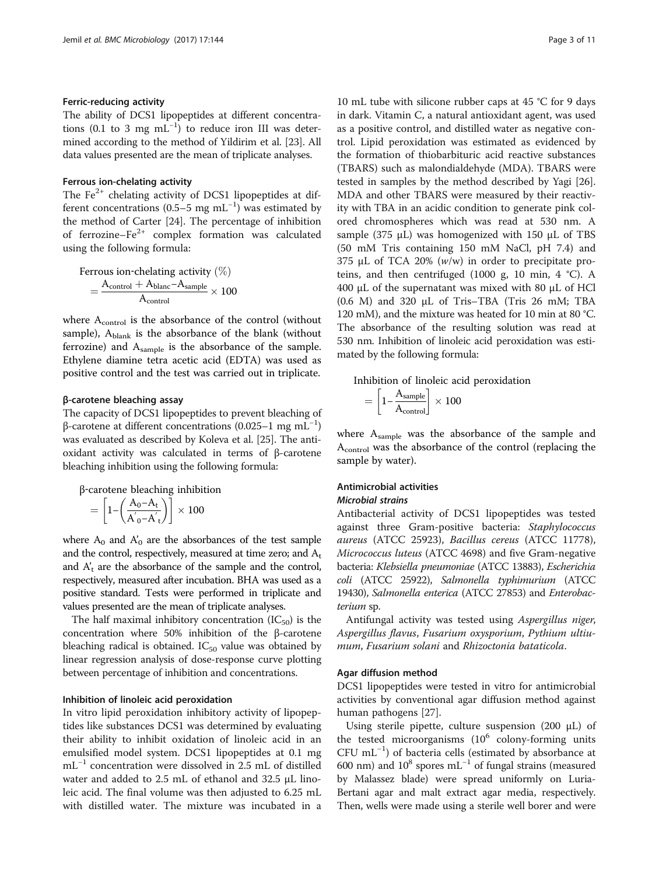#### Ferric-reducing activity

The ability of DCS1 lipopeptides at different concentrations (0.1 to 3 mg  $mL^{-1}$ ) to reduce iron III was determined according to the method of Yildirim et al. [[23](#page-10-0)]. All data values presented are the mean of triplicate analyses.

#### Ferrous ion-chelating activity

The  $Fe<sup>2+</sup>$  chelating activity of DCS1 lipopeptides at different concentrations (0.5–5 mg mL<sup>-1</sup>) was estimated by the method of Carter [[24\]](#page-10-0). The percentage of inhibition of ferrozine– $Fe^{2+}$  complex formation was calculated using the following formula:

$$
\begin{aligned} \text{Fervous ion-chelating activity } (\%) \\ &= \frac{A_{\text{control}} + A_{\text{blanc} - A_{\text{sample}}}}{A_{\text{control}}} \times 100 \end{aligned}
$$

where  $A_{control}$  is the absorbance of the control (without sample), Ablank is the absorbance of the blank (without ferrozine) and Asample is the absorbance of the sample. Ethylene diamine tetra acetic acid (EDTA) was used as positive control and the test was carried out in triplicate.

#### β-carotene bleaching assay

The capacity of DCS1 lipopeptides to prevent bleaching of β-carotene at different concentrations (0.025–1 mg mL−<sup>1</sup> ) was evaluated as described by Koleva et al. [\[25\]](#page-10-0). The antioxidant activity was calculated in terms of β-carotene bleaching inhibition using the following formula:

β‐carotene bleaching inhibition  $\epsilon = \left[1\text{-}\left(\frac{\text{A}_0\text{-}\text{A}_\text{t}}{\text{A}_0^{'}\text{-}\text{A}_\text{t}^{'}\right)\right]\times 100.$ 

where  $A_0$  and  $A'_0$  are the absorbances of the test sample and the control, respectively, measured at time zero; and  $A_t$ and  $A'_t$  are the absorbance of the sample and the control, respectively, measured after incubation. BHA was used as a positive standard. Tests were performed in triplicate and values presented are the mean of triplicate analyses.

The half maximal inhibitory concentration  $(IC_{50})$  is the concentration where 50% inhibition of the β-carotene bleaching radical is obtained.  $IC_{50}$  value was obtained by linear regression analysis of dose-response curve plotting between percentage of inhibition and concentrations.

#### Inhibition of linoleic acid peroxidation

In vitro lipid peroxidation inhibitory activity of lipopeptides like substances DCS1 was determined by evaluating their ability to inhibit oxidation of linoleic acid in an emulsified model system. DCS1 lipopeptides at 0.1 mg mL−<sup>1</sup> concentration were dissolved in 2.5 mL of distilled water and added to 2.5 mL of ethanol and 32.5 μL linoleic acid. The final volume was then adjusted to 6.25 mL with distilled water. The mixture was incubated in a

10 mL tube with silicone rubber caps at 45 °C for 9 days in dark. Vitamin C, a natural antioxidant agent, was used as a positive control, and distilled water as negative control. Lipid peroxidation was estimated as evidenced by the formation of thiobarbituric acid reactive substances (TBARS) such as malondialdehyde (MDA). TBARS were tested in samples by the method described by Yagi [\[26](#page-10-0)]. MDA and other TBARS were measured by their reactivity with TBA in an acidic condition to generate pink colored chromospheres which was read at 530 nm. A sample (375  $\mu$ L) was homogenized with 150  $\mu$ L of TBS (50 mM Tris containing 150 mM NaCl, pH 7.4) and 375 μL of TCA 20% (w/w) in order to precipitate proteins, and then centrifuged (1000 g, 10 min, 4 °C). A 400 μL of the supernatant was mixed with 80 μL of HCl (0.6 M) and 320 μL of Tris–TBA (Tris 26 mM; TBA 120 mM), and the mixture was heated for 10 min at 80 °C. The absorbance of the resulting solution was read at 530 nm. Inhibition of linoleic acid peroxidation was estimated by the following formula:

Inhibition of linoleic acid peroxidation

$$
= \left[1 - \frac{A_{\text{sample}}}{A_{\text{control}}}\right] \times 100
$$

where  $A_{sample}$  was the absorbance of the sample and Acontrol was the absorbance of the control (replacing the sample by water).

# Antimicrobial activities

# Microbial strains

Antibacterial activity of DCS1 lipopeptides was tested against three Gram-positive bacteria: Staphylococcus aureus (ATCC 25923), Bacillus cereus (ATCC 11778), Micrococcus luteus (ATCC 4698) and five Gram-negative bacteria: Klebsiella pneumoniae (ATCC 13883), Escherichia coli (ATCC 25922), Salmonella typhimurium (ATCC 19430), Salmonella enterica (ATCC 27853) and Enterobacterium sp.

Antifungal activity was tested using Aspergillus niger, Aspergillus flavus, Fusarium oxysporium, Pythium ultiumum, Fusarium solani and Rhizoctonia bataticola.

#### Agar diffusion method

DCS1 lipopeptides were tested in vitro for antimicrobial activities by conventional agar diffusion method against human pathogens [[27\]](#page-10-0).

Using sterile pipette, culture suspension  $(200 \mu L)$  of the tested microorganisms  $(10^6 \text{ colony-forming units})$ CFU mL−<sup>1</sup> ) of bacteria cells (estimated by absorbance at 600 nm) and  $10^8$  spores mL<sup>-1</sup> of fungal strains (measured by Malassez blade) were spread uniformly on Luria-Bertani agar and malt extract agar media, respectively. Then, wells were made using a sterile well borer and were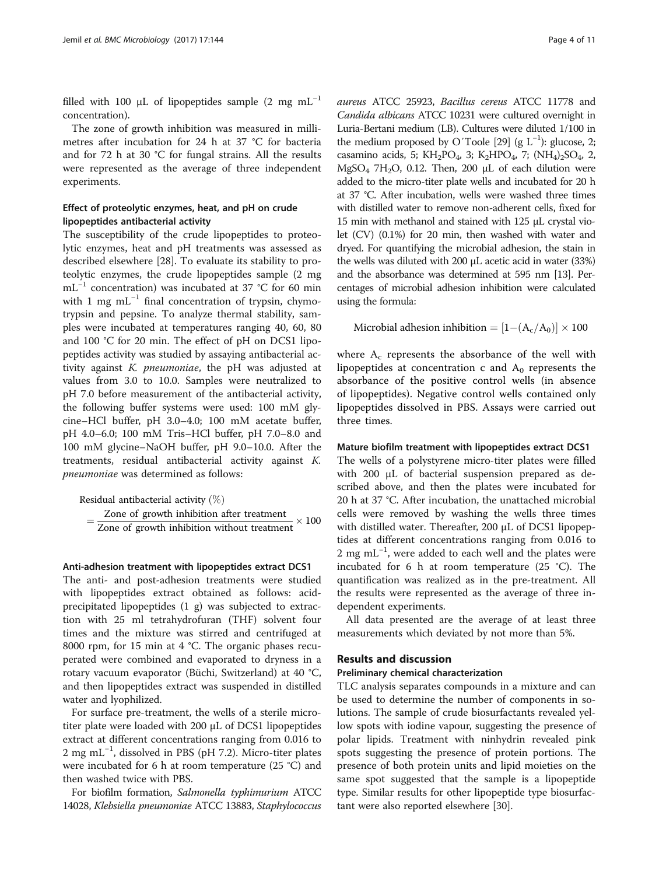filled with 100 μL of lipopeptides sample  $(2 \text{ mg } \text{mL}^{-1})$ concentration).

The zone of growth inhibition was measured in millimetres after incubation for 24 h at 37 °C for bacteria and for 72 h at 30 °C for fungal strains. All the results were represented as the average of three independent experiments.

# Effect of proteolytic enzymes, heat, and pH on crude lipopeptides antibacterial activity

The susceptibility of the crude lipopeptides to proteolytic enzymes, heat and pH treatments was assessed as described elsewhere [[28](#page-10-0)]. To evaluate its stability to proteolytic enzymes, the crude lipopeptides sample (2 mg mL−<sup>1</sup> concentration) was incubated at 37 °C for 60 min with 1 mg mL<sup> $-1$ </sup> final concentration of trypsin, chymotrypsin and pepsine. To analyze thermal stability, samples were incubated at temperatures ranging 40, 60, 80 and 100 °C for 20 min. The effect of pH on DCS1 lipopeptides activity was studied by assaying antibacterial activity against K. pneumoniae, the pH was adjusted at values from 3.0 to 10.0. Samples were neutralized to pH 7.0 before measurement of the antibacterial activity, the following buffer systems were used: 100 mM glycine–HCl buffer, pH 3.0–4.0; 100 mM acetate buffer, pH 4.0–6.0; 100 mM Tris–HCl buffer, pH 7.0–8.0 and 100 mM glycine–NaOH buffer, pH 9.0–10.0. After the treatments, residual antibacterial activity against K. pneumoniae was determined as follows:

Residual antibacterial activity 
$$
(\%)
$$

\n
$$
= \frac{Z \text{one of growth inhibition after treatment}}{Z \text{one of growth inhibition without treatment}} \times 100
$$

#### Anti-adhesion treatment with lipopeptides extract DCS1

The anti- and post-adhesion treatments were studied with lipopeptides extract obtained as follows: acidprecipitated lipopeptides (1 g) was subjected to extraction with 25 ml tetrahydrofuran (THF) solvent four times and the mixture was stirred and centrifuged at 8000 rpm, for 15 min at 4 °C. The organic phases recuperated were combined and evaporated to dryness in a rotary vacuum evaporator (Büchi, Switzerland) at 40 °C, and then lipopeptides extract was suspended in distilled water and lyophilized.

For surface pre-treatment, the wells of a sterile microtiter plate were loaded with 200 μL of DCS1 lipopeptides extract at different concentrations ranging from 0.016 to 2 mg mL<sup>-1</sup>, dissolved in PBS (pH 7.2). Micro-titer plates were incubated for 6 h at room temperature (25 °C) and then washed twice with PBS.

For biofilm formation, Salmonella typhimurium ATCC 14028, Klebsiella pneumoniae ATCC 13883, Staphylococcus aureus ATCC 25923, Bacillus cereus ATCC 11778 and Candida albicans ATCC 10231 were cultured overnight in Luria-Bertani medium (LB). Cultures were diluted 1/100 in the medium proposed by O'Toole [\[29\]](#page-10-0) (g  $L^{-1}$ ): glucose, 2; casamino acids, 5; KH<sub>2</sub>PO<sub>4</sub>, 3; K<sub>2</sub>HPO<sub>4</sub>, 7; (NH<sub>4</sub>)<sub>2</sub>SO<sub>4</sub>, 2,  $MgSO<sub>4</sub>$  7H<sub>2</sub>O, 0.12. Then, 200  $\mu$ L of each dilution were added to the micro-titer plate wells and incubated for 20 h at 37 °C. After incubation, wells were washed three times with distilled water to remove non-adherent cells, fixed for 15 min with methanol and stained with 125 μL crystal violet (CV) (0.1%) for 20 min, then washed with water and dryed. For quantifying the microbial adhesion, the stain in the wells was diluted with 200 μL acetic acid in water (33%) and the absorbance was determined at 595 nm [\[13](#page-9-0)]. Percentages of microbial adhesion inhibition were calculated using the formula:

Microbial adhesion inhibition  $= [1-(A_c/A_0)] \times 100$ 

where  $A_c$  represents the absorbance of the well with lipopeptides at concentration c and  $A_0$  represents the absorbance of the positive control wells (in absence of lipopeptides). Negative control wells contained only lipopeptides dissolved in PBS. Assays were carried out three times.

#### Mature biofilm treatment with lipopeptides extract DCS1

The wells of a polystyrene micro-titer plates were filled with 200 μL of bacterial suspension prepared as described above, and then the plates were incubated for 20 h at 37 °C. After incubation, the unattached microbial cells were removed by washing the wells three times with distilled water. Thereafter, 200 μL of DCS1 lipopeptides at different concentrations ranging from 0.016 to 2 mg mL<sup>-1</sup>, were added to each well and the plates were incubated for 6 h at room temperature (25 °C). The quantification was realized as in the pre-treatment. All the results were represented as the average of three independent experiments.

All data presented are the average of at least three measurements which deviated by not more than 5%.

#### Results and discussion

#### Preliminary chemical characterization

TLC analysis separates compounds in a mixture and can be used to determine the number of components in solutions. The sample of crude biosurfactants revealed yellow spots with iodine vapour, suggesting the presence of polar lipids. Treatment with ninhydrin revealed pink spots suggesting the presence of protein portions. The presence of both protein units and lipid moieties on the same spot suggested that the sample is a lipopeptide type. Similar results for other lipopeptide type biosurfactant were also reported elsewhere [[30](#page-10-0)].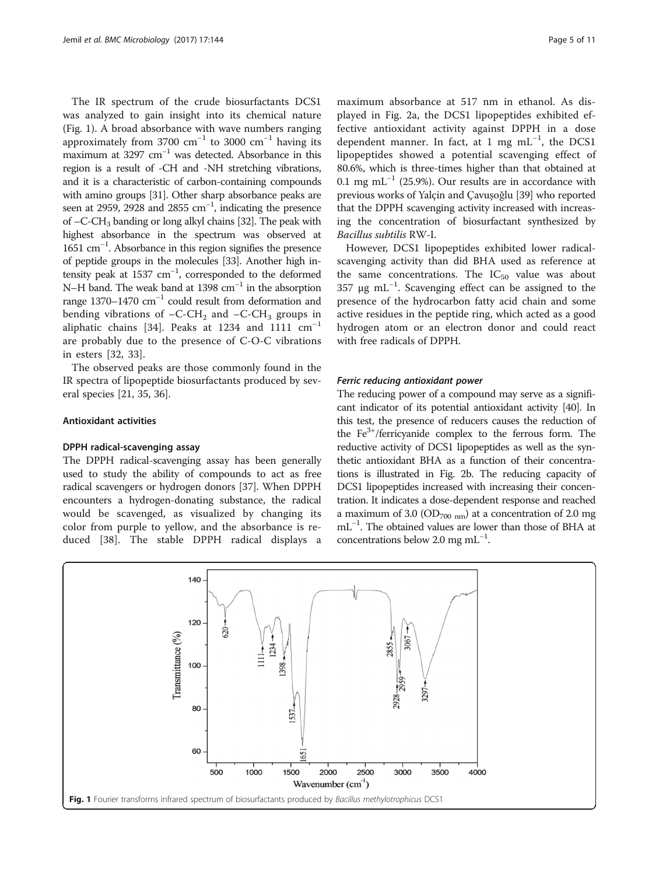The IR spectrum of the crude biosurfactants DCS1 was analyzed to gain insight into its chemical nature (Fig. 1). A broad absorbance with wave numbers ranging approximately from 3700  $cm^{-1}$  to 3000  $cm^{-1}$  having its maximum at 3297  $cm^{-1}$  was detected. Absorbance in this region is a result of -CH and -NH stretching vibrations, and it is a characteristic of carbon-containing compounds with amino groups [[31](#page-10-0)]. Other sharp absorbance peaks are seen at 2959, 2928 and 2855 cm<sup>-1</sup>, indicating the presence of –C-CH3 banding or long alkyl chains [\[32\]](#page-10-0). The peak with highest absorbance in the spectrum was observed at 1651 cm−<sup>1</sup> . Absorbance in this region signifies the presence of peptide groups in the molecules [\[33](#page-10-0)]. Another high intensity peak at 1537 cm<sup>-1</sup>, corresponded to the deformed N–H band. The weak band at 1398 cm<sup>-1</sup> in the absorption range 1370–1470 cm−<sup>1</sup> could result from deformation and bending vibrations of  $-C-CH_2$  and  $-C-CH_3$  groups in aliphatic chains [\[34](#page-10-0)]. Peaks at 1234 and 1111  $cm^{-1}$ are probably due to the presence of C-O-C vibrations in esters [[32, 33\]](#page-10-0).

The observed peaks are those commonly found in the IR spectra of lipopeptide biosurfactants produced by several species [\[21](#page-9-0), [35](#page-10-0), [36](#page-10-0)].

#### Antioxidant activities

#### DPPH radical-scavenging assay

The DPPH radical-scavenging assay has been generally used to study the ability of compounds to act as free radical scavengers or hydrogen donors [\[37\]](#page-10-0). When DPPH encounters a hydrogen-donating substance, the radical would be scavenged, as visualized by changing its color from purple to yellow, and the absorbance is reduced [\[38](#page-10-0)]. The stable DPPH radical displays a

maximum absorbance at 517 nm in ethanol. As displayed in Fig. [2a](#page-5-0), the DCS1 lipopeptides exhibited effective antioxidant activity against DPPH in a dose dependent manner. In fact, at 1 mg mL<sup>-1</sup>, the DCS1 lipopeptides showed a potential scavenging effect of 80.6%, which is three-times higher than that obtained at 0.1 mg mL<sup>-1</sup> (25.9%). Our results are in accordance with previous works of Yalcin and Cavusoğlu [\[39](#page-10-0)] who reported that the DPPH scavenging activity increased with increasing the concentration of biosurfactant synthesized by Bacillus subtilis RW-I.

However, DCS1 lipopeptides exhibited lower radicalscavenging activity than did BHA used as reference at the same concentrations. The  $IC_{50}$  value was about 357 μg mL−<sup>1</sup> . Scavenging effect can be assigned to the presence of the hydrocarbon fatty acid chain and some active residues in the peptide ring, which acted as a good hydrogen atom or an electron donor and could react with free radicals of DPPH.

#### Ferric reducing antioxidant power

The reducing power of a compound may serve as a significant indicator of its potential antioxidant activity [\[40\]](#page-10-0). In this test, the presence of reducers causes the reduction of the  $Fe<sup>3+</sup>/ferricyanide$  complex to the ferrous form. The reductive activity of DCS1 lipopeptides as well as the synthetic antioxidant BHA as a function of their concentrations is illustrated in Fig. [2b](#page-5-0). The reducing capacity of DCS1 lipopeptides increased with increasing their concentration. It indicates a dose-dependent response and reached a maximum of 3.0 (OD<sub>700 nm</sub>) at a concentration of 2.0 mg mL−<sup>1</sup> . The obtained values are lower than those of BHA at concentrations below 2.0 mg mL−<sup>1</sup> .

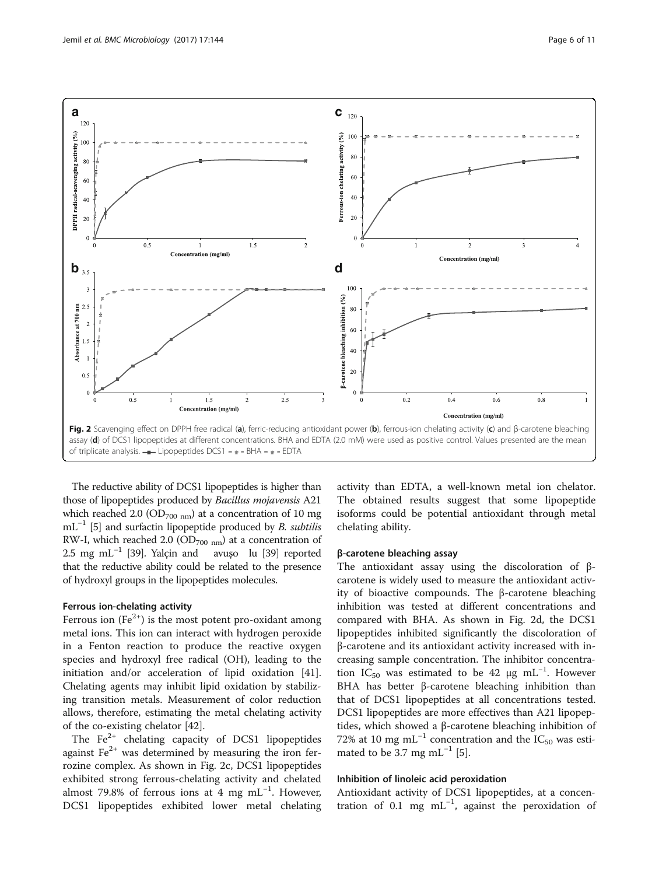<span id="page-5-0"></span>

The reductive ability of DCS1 lipopeptides is higher than those of lipopeptides produced by Bacillus mojavensis A21 which reached 2.0 (OD<sub>700 nm</sub>) at a concentration of 10 mg  $mL^{-1}$  [\[5\]](#page-9-0) and surfactin lipopeptide produced by B. subtilis RW-I, which reached 2.0 (OD<sub>700 nm</sub>) at a concentration of 2.5 mg mL−<sup>1</sup> [[39](#page-10-0)]. Yalçin and avuşo lu [\[39](#page-10-0)] reported that the reductive ability could be related to the presence of hydroxyl groups in the lipopeptides molecules.

### Ferrous ion-chelating activity

Ferrous ion  $(Fe^{2+})$  is the most potent pro-oxidant among metal ions. This ion can interact with hydrogen peroxide in a Fenton reaction to produce the reactive oxygen species and hydroxyl free radical (OH), leading to the initiation and/or acceleration of lipid oxidation [\[41](#page-10-0)]. Chelating agents may inhibit lipid oxidation by stabilizing transition metals. Measurement of color reduction allows, therefore, estimating the metal chelating activity of the co-existing chelator [\[42\]](#page-10-0).

The  $Fe<sup>2+</sup>$  chelating capacity of DCS1 lipopeptides against  $Fe<sup>2+</sup>$  was determined by measuring the iron ferrozine complex. As shown in Fig. 2c, DCS1 lipopeptides exhibited strong ferrous-chelating activity and chelated almost 79.8% of ferrous ions at 4 mg mL<sup>-1</sup>. However, DCS1 lipopeptides exhibited lower metal chelating activity than EDTA, a well-known metal ion chelator. The obtained results suggest that some lipopeptide isoforms could be potential antioxidant through metal chelating ability.

#### β-carotene bleaching assay

The antioxidant assay using the discoloration of βcarotene is widely used to measure the antioxidant activity of bioactive compounds. The β-carotene bleaching inhibition was tested at different concentrations and compared with BHA. As shown in Fig. 2d, the DCS1 lipopeptides inhibited significantly the discoloration of β-carotene and its antioxidant activity increased with increasing sample concentration. The inhibitor concentration IC<sub>50</sub> was estimated to be 42 µg mL<sup>-1</sup>. However BHA has better β-carotene bleaching inhibition than that of DCS1 lipopeptides at all concentrations tested. DCS1 lipopeptides are more effectives than A21 lipopeptides, which showed a β-carotene bleaching inhibition of 72% at 10 mg mL<sup>-1</sup> concentration and the  $IC_{50}$  was esti-mated to be 3.7 mg mL<sup>-1</sup> [\[5](#page-9-0)].

#### Inhibition of linoleic acid peroxidation

Antioxidant activity of DCS1 lipopeptides, at a concentration of 0.1 mg  $mL^{-1}$ , against the peroxidation of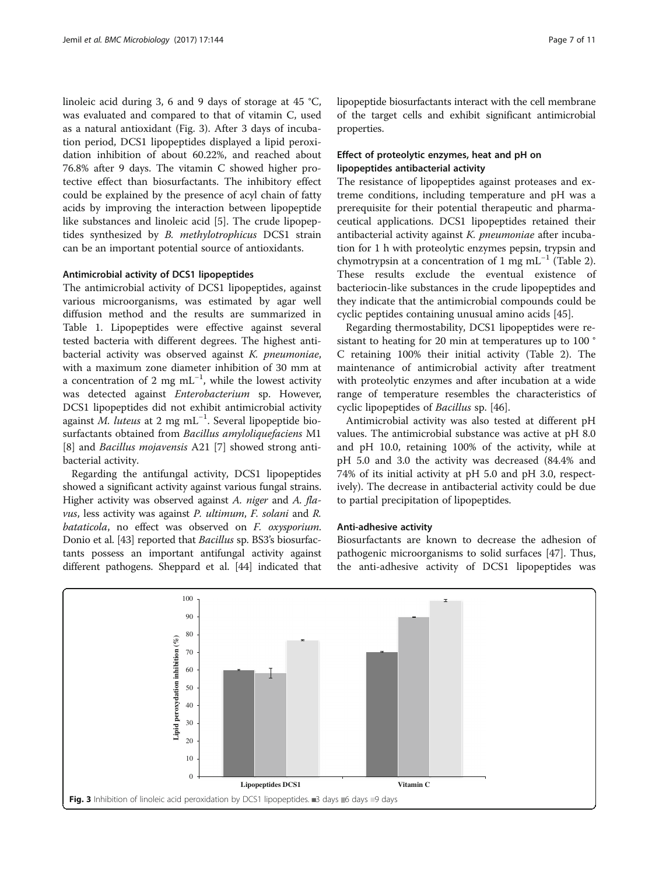linoleic acid during 3, 6 and 9 days of storage at 45 °C, was evaluated and compared to that of vitamin C, used as a natural antioxidant (Fig. 3). After 3 days of incubation period, DCS1 lipopeptides displayed a lipid peroxidation inhibition of about 60.22%, and reached about 76.8% after 9 days. The vitamin C showed higher protective effect than biosurfactants. The inhibitory effect could be explained by the presence of acyl chain of fatty acids by improving the interaction between lipopeptide like substances and linoleic acid [[5\]](#page-9-0). The crude lipopeptides synthesized by B. methylotrophicus DCS1 strain can be an important potential source of antioxidants.

#### Antimicrobial activity of DCS1 lipopeptides

The antimicrobial activity of DCS1 lipopeptides, against various microorganisms, was estimated by agar well diffusion method and the results are summarized in Table [1.](#page-7-0) Lipopeptides were effective against several tested bacteria with different degrees. The highest antibacterial activity was observed against K. pneumoniae, with a maximum zone diameter inhibition of 30 mm at a concentration of 2 mg  $mL^{-1}$ , while the lowest activity was detected against Enterobacterium sp. However, DCS1 lipopeptides did not exhibit antimicrobial activity against M. luteus at 2 mg mL<sup>-1</sup>. Several lipopeptide biosurfactants obtained from Bacillus amyloliquefaciens M1 [[8\]](#page-9-0) and *Bacillus mojavensis* A21 [\[7](#page-9-0)] showed strong antibacterial activity.

Regarding the antifungal activity, DCS1 lipopeptides showed a significant activity against various fungal strains. Higher activity was observed against A. niger and A. flavus, less activity was against P. ultimum, F. solani and R. bataticola, no effect was observed on F. oxysporium. Donio et al. [\[43\]](#page-10-0) reported that Bacillus sp. BS3's biosurfactants possess an important antifungal activity against different pathogens. Sheppard et al. [\[44](#page-10-0)] indicated that lipopeptide biosurfactants interact with the cell membrane of the target cells and exhibit significant antimicrobial properties.

## Effect of proteolytic enzymes, heat and pH on lipopeptides antibacterial activity

The resistance of lipopeptides against proteases and extreme conditions, including temperature and pH was a prerequisite for their potential therapeutic and pharmaceutical applications. DCS1 lipopeptides retained their antibacterial activity against K. pneumoniae after incubation for 1 h with proteolytic enzymes pepsin, trypsin and chymotrypsin at a concentration of 1 mg mL<sup>-1</sup> (Table [2](#page-7-0)). These results exclude the eventual existence of bacteriocin-like substances in the crude lipopeptides and they indicate that the antimicrobial compounds could be cyclic peptides containing unusual amino acids [\[45](#page-10-0)].

Regarding thermostability, DCS1 lipopeptides were resistant to heating for 20 min at temperatures up to 100 ° C retaining 100% their initial activity (Table [2](#page-7-0)). The maintenance of antimicrobial activity after treatment with proteolytic enzymes and after incubation at a wide range of temperature resembles the characteristics of cyclic lipopeptides of Bacillus sp. [\[46](#page-10-0)].

Antimicrobial activity was also tested at different pH values. The antimicrobial substance was active at pH 8.0 and pH 10.0, retaining 100% of the activity, while at pH 5.0 and 3.0 the activity was decreased (84.4% and 74% of its initial activity at pH 5.0 and pH 3.0, respectively). The decrease in antibacterial activity could be due to partial precipitation of lipopeptides.

#### Anti-adhesive activity

Biosurfactants are known to decrease the adhesion of pathogenic microorganisms to solid surfaces [[47](#page-10-0)]. Thus, the anti-adhesive activity of DCS1 lipopeptides was

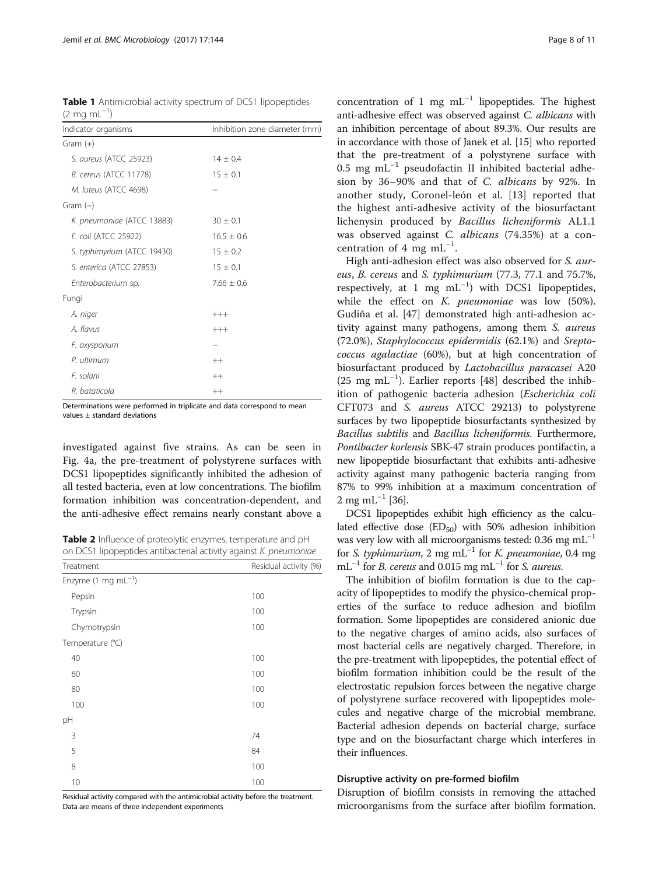<span id="page-7-0"></span>Table 1 Antimicrobial activity spectrum of DCS1 lipopeptides  $(2 \text{ mg } \text{mL}^{-1})$ 

| Indicator organisms           | Inhibition zone diameter (mm) |
|-------------------------------|-------------------------------|
| $Gram (+)$                    |                               |
| S. aureus (ATCC 25923)        | $14 \pm 0.4$                  |
| <b>B.</b> cereus (ATCC 11778) | $15 \pm 0.1$                  |
| M. luteus (ATCC 4698)         |                               |
| Gram $(-)$                    |                               |
| K. pneumoniae (ATCC 13883)    | $30 \pm 0.1$                  |
| E. coli (ATCC 25922)          | $16.5 \pm 0.6$                |
| S. typhimyrium (ATCC 19430)   | $15 \pm 0.2$                  |
| S. enterica (ATCC 27853)      | $15 \pm 0.1$                  |
| Enterobacterium sp.           | $7.66 \pm 0.6$                |
| Fungi                         |                               |
| A. niger                      | $+++$                         |
| A. flavus                     | $+++$                         |
| F. oxysporium                 |                               |
| P. ultimum                    | $++$                          |
| F. solani                     | $++$                          |
| R. bataticola                 | $++$                          |

Determinations were performed in triplicate and data correspond to mean values ± standard deviations

investigated against five strains. As can be seen in Fig. [4a](#page-8-0), the pre-treatment of polystyrene surfaces with DCS1 lipopeptides significantly inhibited the adhesion of all tested bacteria, even at low concentrations. The biofilm formation inhibition was concentration-dependent, and the anti-adhesive effect remains nearly constant above a

Table 2 Influence of proteolytic enzymes, temperature and pH on DCS1 lipopeptides antibacterial activity against K. pneumoniae

| Treatment                        | Residual activity (%) |
|----------------------------------|-----------------------|
| Enzyme $(1 \text{ mg } mL^{-1})$ |                       |
| Pepsin                           | 100                   |
| Trypsin                          | 100                   |
| Chymotrypsin                     | 100                   |
| Temperature (°C)                 |                       |
| 40                               | 100                   |
| 60                               | 100                   |
| 80                               | 100                   |
| 100                              | 100                   |
| pH                               |                       |
| 3                                | 74                    |
| 5                                | 84                    |
| 8                                | 100                   |
| 10                               | 100                   |

Residual activity compared with the antimicrobial activity before the treatment. Data are means of three independent experiments

concentration of 1 mg  $mL^{-1}$  lipopeptides. The highest anti-adhesive effect was observed against C. albicans with an inhibition percentage of about 89.3%. Our results are in accordance with those of Janek et al. [[15](#page-9-0)] who reported that the pre-treatment of a polystyrene surface with 0.5 mg mL−<sup>1</sup> pseudofactin II inhibited bacterial adhesion by 36–90% and that of C. albicans by 92%. In another study, Coronel-león et al. [[13\]](#page-9-0) reported that the highest anti-adhesive activity of the biosurfactant lichenysin produced by Bacillus licheniformis AL1.1 was observed against C. albicans (74.35%) at a concentration of 4 mg mL<sup>-1</sup>.

High anti-adhesion effect was also observed for S. aureus, B. cereus and S. typhimurium (77.3, 77.1 and 75.7%, respectively, at 1 mg mL−<sup>1</sup> ) with DCS1 lipopeptides, while the effect on K. pneumoniae was low (50%). Gudiña et al. [\[47](#page-10-0)] demonstrated high anti-adhesion activity against many pathogens, among them S. aureus (72.0%), Staphylococcus epidermidis (62.1%) and Sreptococcus agalactiae (60%), but at high concentration of biosurfactant produced by Lactobacillus paracasei A20 (25 mg mL−<sup>1</sup> ). Earlier reports [\[48](#page-10-0)] described the inhibition of pathogenic bacteria adhesion (Escherichia coli CFT073 and S. aureus ATCC 29213) to polystyrene surfaces by two lipopeptide biosurfactants synthesized by Bacillus subtilis and Bacillus licheniformis. Furthermore, Pontibacter korlensis SBK-47 strain produces pontifactin, a new lipopeptide biosurfactant that exhibits anti-adhesive activity against many pathogenic bacteria ranging from 87% to 99% inhibition at a maximum concentration of  $2 \text{ mg } \text{mL}^{-1}$  [[36](#page-10-0)].

DCS1 lipopeptides exhibit high efficiency as the calculated effective dose  $(ED_{50})$  with 50% adhesion inhibition was very low with all microorganisms tested: 0.36 mg mL<sup> $-1$ </sup> for S. typhimurium, 2 mg mL<sup>-1</sup> for K. pneumoniae, 0.4 mg mL<sup>-1</sup> for *B*. cereus and 0.015 mg mL<sup>-1</sup> for *S. aureus*.

The inhibition of biofilm formation is due to the capacity of lipopeptides to modify the physico-chemical properties of the surface to reduce adhesion and biofilm formation. Some lipopeptides are considered anionic due to the negative charges of amino acids, also surfaces of most bacterial cells are negatively charged. Therefore, in the pre-treatment with lipopeptides, the potential effect of biofilm formation inhibition could be the result of the electrostatic repulsion forces between the negative charge of polystyrene surface recovered with lipopeptides molecules and negative charge of the microbial membrane. Bacterial adhesion depends on bacterial charge, surface type and on the biosurfactant charge which interferes in their influences.

#### Disruptive activity on pre-formed biofilm

Disruption of biofilm consists in removing the attached microorganisms from the surface after biofilm formation.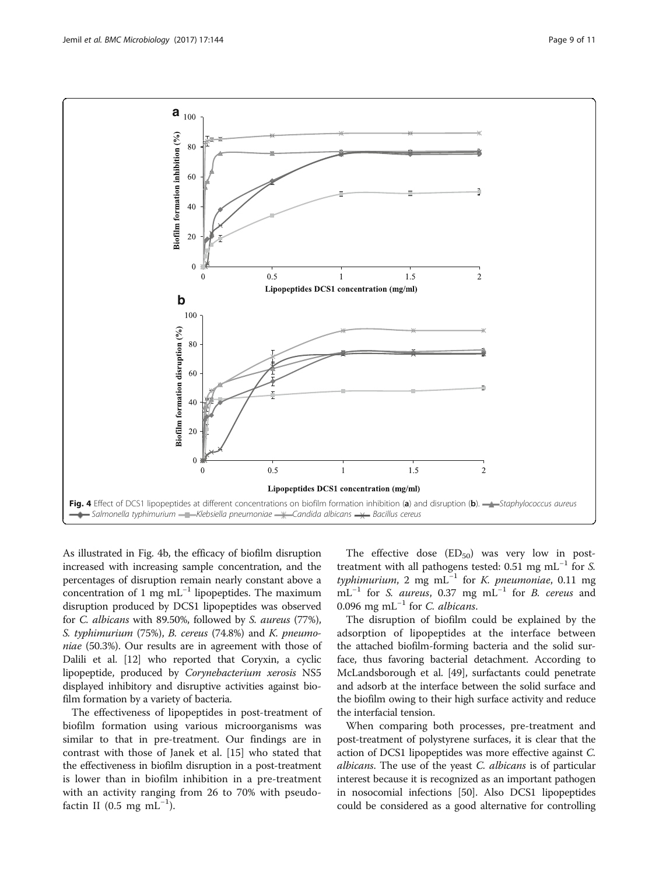<span id="page-8-0"></span>

As illustrated in Fig. 4b, the efficacy of biofilm disruption increased with increasing sample concentration, and the percentages of disruption remain nearly constant above a concentration of 1 mg mL<sup> $-1$ </sup> lipopeptides. The maximum disruption produced by DCS1 lipopeptides was observed for C. albicans with 89.50%, followed by S. aureus (77%), S. typhimurium (75%), B. cereus (74.8%) and K. pneumoniae (50.3%). Our results are in agreement with those of Dalili et al. [\[12\]](#page-9-0) who reported that Coryxin, a cyclic lipopeptide, produced by Corynebacterium xerosis NS5 displayed inhibitory and disruptive activities against biofilm formation by a variety of bacteria.

The effectiveness of lipopeptides in post-treatment of biofilm formation using various microorganisms was similar to that in pre-treatment. Our findings are in contrast with those of Janek et al. [[15\]](#page-9-0) who stated that the effectiveness in biofilm disruption in a post-treatment is lower than in biofilm inhibition in a pre-treatment with an activity ranging from 26 to 70% with pseudofactin II (0.5 mg mL<sup>-1</sup>).

The effective dose  $(ED_{50})$  was very low in posttreatment with all pathogens tested: 0.51 mg mL<sup>-1</sup> for S. typhimurium, 2 mg mL<sup>-1</sup> for K. pneumoniae, 0.11 mg  $mL^{-1}$  for S. aureus, 0.37 mg  $mL^{-1}$  for B. cereus and 0.096 mg mL<sup>-1</sup> for C. albicans.

The disruption of biofilm could be explained by the adsorption of lipopeptides at the interface between the attached biofilm-forming bacteria and the solid surface, thus favoring bacterial detachment. According to McLandsborough et al. [[49\]](#page-10-0), surfactants could penetrate and adsorb at the interface between the solid surface and the biofilm owing to their high surface activity and reduce the interfacial tension.

When comparing both processes, pre-treatment and post-treatment of polystyrene surfaces, it is clear that the action of DCS1 lipopeptides was more effective against C. *albicans*. The use of the yeast *C. albicans* is of particular interest because it is recognized as an important pathogen in nosocomial infections [\[50\]](#page-10-0). Also DCS1 lipopeptides could be considered as a good alternative for controlling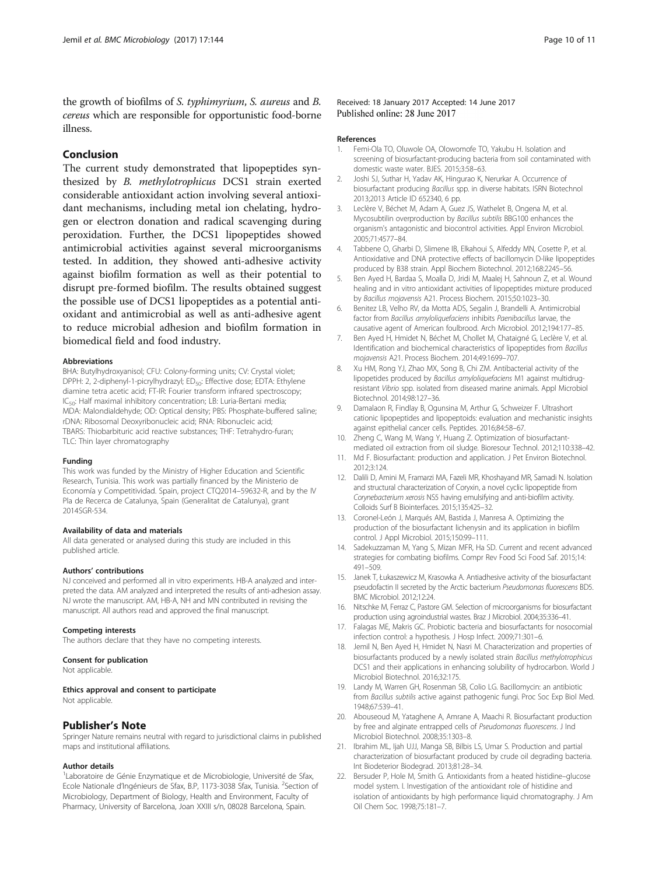<span id="page-9-0"></span>the growth of biofilms of S. typhimyrium, S. aureus and B. cereus which are responsible for opportunistic food-borne illness.

#### Conclusion

The current study demonstrated that lipopeptides synthesized by B. methylotrophicus DCS1 strain exerted considerable antioxidant action involving several antioxidant mechanisms, including metal ion chelating, hydrogen or electron donation and radical scavenging during peroxidation. Further, the DCS1 lipopeptides showed antimicrobial activities against several microorganisms tested. In addition, they showed anti-adhesive activity against biofilm formation as well as their potential to disrupt pre-formed biofilm. The results obtained suggest the possible use of DCS1 lipopeptides as a potential antioxidant and antimicrobial as well as anti-adhesive agent to reduce microbial adhesion and biofilm formation in biomedical field and food industry.

#### Abbreviations

BHA: Butylhydroxyanisol; CFU: Colony-forming units; CV: Crystal violet; DPPH: 2, 2-diphenyl-1-picrylhydrazyl; ED<sub>50</sub>: Effective dose; EDTA: Ethylene diamine tetra acetic acid; FT-IR: Fourier transform infrared spectroscopy; IC<sub>50</sub>: Half maximal inhibitory concentration; LB: Luria-Bertani media; MDA: Malondialdehyde; OD: Optical density; PBS: Phosphate-buffered saline; rDNA: Ribosomal Deoxyribonucleic acid; RNA: Ribonucleic acid; TBARS: Thiobarbituric acid reactive substances; THF: Tetrahydro-furan; TLC: Thin layer chromatography

#### Funding

This work was funded by the Ministry of Higher Education and Scientific Research, Tunisia. This work was partially financed by the Ministerio de Economía y Competitividad. Spain, project CTQ2014–59632-R, and by the IV Pla de Recerca de Catalunya, Spain (Generalitat de Catalunya), grant 2014SGR-534.

#### Availability of data and materials

All data generated or analysed during this study are included in this published article.

#### Authors' contributions

NJ conceived and performed all in vitro experiments. HB-A analyzed and interpreted the data. AM analyzed and interpreted the results of anti-adhesion assay. NJ wrote the manuscript. AM, HB-A, NH and MN contributed in revising the manuscript. All authors read and approved the final manuscript.

#### Competing interests

The authors declare that they have no competing interests.

#### Consent for publication

Not applicable.

#### Ethics approval and consent to participate

Not applicable.

#### Publisher's Note

Springer Nature remains neutral with regard to jurisdictional claims in published maps and institutional affiliations.

#### Author details

<sup>1</sup> Laboratoire de Génie Enzymatique et de Microbiologie, Université de Sfax, Ecole Nationale d'Ingénieurs de Sfax, B.P, 1173-3038 Sfax, Tunisia. <sup>2</sup>Section of Microbiology, Department of Biology, Health and Environment, Faculty of Pharmacy, University of Barcelona, Joan XXIII s/n, 08028 Barcelona, Spain.

#### Received: 18 January 2017 Accepted: 14 June 2017 Published online: 28 June 2017

#### References

- 1. Femi-Ola TO, Oluwole OA, Olowomofe TO, Yakubu H. Isolation and screening of biosurfactant-producing bacteria from soil contaminated with domestic waste water. BJES. 2015;3:58–63.
- 2. Joshi SJ, Suthar H, Yadav AK, Hingurao K, Nerurkar A. Occurrence of biosurfactant producing Bacillus spp. in diverse habitats. ISRN Biotechnol 2013;2013 Article ID 652340, 6 pp.
- 3. Leclère V, Béchet M, Adam A, Guez JS, Wathelet B, Ongena M, et al. Mycosubtilin overproduction by Bacillus subtilis BBG100 enhances the organism's antagonistic and biocontrol activities. Appl Environ Microbiol. 2005;71:4577–84.
- 4. Tabbene O, Gharbi D, Slimene IB, Elkahoui S, Alfeddy MN, Cosette P, et al. Antioxidative and DNA protective effects of bacillomycin D-like lipopeptides produced by B38 strain. Appl Biochem Biotechnol. 2012;168:2245–56.
- 5. Ben Ayed H, Bardaa S, Moalla D, Jridi M, Maalej H, Sahnoun Z, et al. Wound healing and in vitro antioxidant activities of lipopeptides mixture produced by Bacillus mojavensis A21. Process Biochem. 2015;50:1023–30.
- 6. Benitez LB, Velho RV, da Motta ADS, Segalin J, Brandelli A. Antimicrobial factor from Bacillus amyloliquefaciens inhibits Paenibacillus larvae, the causative agent of American foulbrood. Arch Microbiol. 2012;194:177–85.
- 7. Ben Ayed H, Hmidet N, Béchet M, Chollet M, Chataigné G, Leclère V, et al. Identification and biochemical characteristics of lipopeptides from Bacillus mojavensis A21. Process Biochem. 2014;49:1699–707.
- 8. Xu HM, Rong YJ, Zhao MX, Song B, Chi ZM. Antibacterial activity of the lipopetides produced by Bacillus amyloliquefaciens M1 against multidrugresistant Vibrio spp. isolated from diseased marine animals. Appl Microbiol Biotechnol. 2014;98:127–36.
- 9. Damalaon R, Findlay B, Ogunsina M, Arthur G, Schweizer F. Ultrashort cationic lipopeptides and lipopeptoids: evaluation and mechanistic insights against epithelial cancer cells. Peptides. 2016;84:58–67.
- 10. Zheng C, Wang M, Wang Y, Huang Z. Optimization of biosurfactantmediated oil extraction from oil sludge. Bioresour Technol. 2012;110:338–42.
- 11. Md F. Biosurfactant: production and application. J Pet Environ Biotechnol. 2012;3:124.
- 12. Dalili D, Amini M, Framarzi MA, Fazeli MR, Khoshayand MR, Samadi N. Isolation and structural characterization of Coryxin, a novel cyclic lipopeptide from Corynebacterium xerosis NS5 having emulsifying and anti-biofilm activity. Colloids Surf B Biointerfaces. 2015;135:425–32.
- 13. Coronel-León J, Marqués AM, Bastida J, Manresa A. Optimizing the production of the biosurfactant lichenysin and its application in biofilm control. J Appl Microbiol. 2015;150:99–111.
- 14. Sadekuzzaman M, Yang S, Mizan MFR, Ha SD. Current and recent advanced strategies for combating biofilms. Compr Rev Food Sci Food Saf. 2015;14: 491–509.
- 15. Janek T, Łukaszewicz M, Krasowka A. Antiadhesive activity of the biosurfactant pseudofactin II secreted by the Arctic bacterium Pseudomonas fluorescens BD5. BMC Microbiol. 2012;12:24.
- 16. Nitschke M, Ferraz C, Pastore GM. Selection of microorganisms for biosurfactant production using agroindustrial wastes. Braz J Microbiol. 2004;35:336–41.
- 17. Falagas ME, Makris GC. Probiotic bacteria and biosurfactants for nosocomial infection control: a hypothesis. J Hosp Infect. 2009;71:301–6.
- 18. Jemil N, Ben Ayed H, Hmidet N, Nasri M. Characterization and properties of biosurfactants produced by a newly isolated strain Bacillus methylotrophicus DCS1 and their applications in enhancing solubility of hydrocarbon. World J Microbiol Biotechnol. 2016;32:175.
- 19. Landy M, Warren GH, Rosenman SB, Colio LG. Bacillomycin: an antibiotic from Bacillus subtilis active against pathogenic fungi. Proc Soc Exp Biol Med. 1948;67:539–41.
- 20. Abouseoud M, Yataghene A, Amrane A, Maachi R. Biosurfactant production by free and alginate entrapped cells of Pseudomonas fluorescens. J Ind Microbiol Biotechnol. 2008;35:1303–8.
- 21. Ibrahim ML, Ijah UJJ, Manga SB, Bilbis LS, Umar S. Production and partial characterization of biosurfactant produced by crude oil degrading bacteria. Int Biodeterior Biodegrad. 2013;81:28–34.
- 22. Bersuder P, Hole M, Smith G. Antioxidants from a heated histidine–glucose model system. I. Investigation of the antioxidant role of histidine and isolation of antioxidants by high performance liquid chromatography. J Am Oil Chem Soc. 1998;75:181–7.